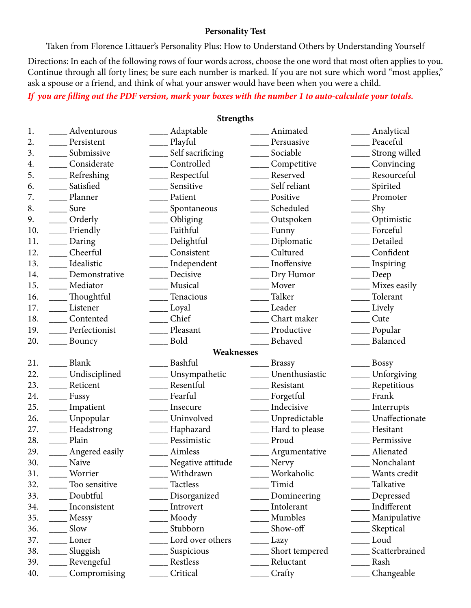#### **Personality Test**

Taken from Florence Littauer's Personality Plus: How to Understand Others by Understanding Yourself Directions: In each of the following rows of four words across, choose the one word that most often applies to you. Continue through all forty lines; be sure each number is marked. If you are not sure which word "most applies," ask a spouse or a friend, and think of what your answer would have been when you were a child.

### *If you are filling out the PDF version, mark your boxes with the number 1 to auto-calculate your totals.*

#### **Strengths**

| 1.  | Adventurous    | Adaptable         | Animated           | Analytical     |
|-----|----------------|-------------------|--------------------|----------------|
| 2.  | Persistent     | Playful           | Persuasive         | Peaceful       |
| 3.  | Submissive     | Self sacrificing  | Sociable           | Strong willed  |
| 4.  | Considerate    | Controlled        | Competitive        | Convincing     |
| 5.  | Refreshing     | Respectful        | Reserved           | Resourceful    |
| 6.  | Satisfied      | Sensitive         | Self reliant       | Spirited       |
| 7.  | Planner        | Patient           | Positive           | Promoter       |
| 8.  | Sure           | Spontaneous       | Scheduled          | Shy            |
| 9.  | Orderly        | Obliging          | Outspoken          | Optimistic     |
| 10. | Friendly       | Faithful          | Funny              | Forceful       |
| 11. | Daring         | Delightful        | Diplomatic         | Detailed       |
| 12. | Cheerful       | Consistent        | Cultured           | Confident      |
| 13. | Idealistic     | Independent       | Inoffensive        | Inspiring      |
| 14. | Demonstrative  | Decisive          | Dry Humor          | Deep           |
| 15. | Mediator       | Musical           | Mover              | Mixes easily   |
| 16. | Thoughtful     | Tenacious         | Talker             | Tolerant       |
| 17. | Listener       | Loyal             | Leader             | Lively         |
| 18. | Contented      | Chief             | Chart maker        | Cute           |
| 19. | Perfectionist  | Pleasant          | Productive         | Popular        |
| 20. | Bouncy         | <b>Bold</b>       | Behaved            | Balanced       |
|     |                | Weaknesses        |                    |                |
| 21. | Blank          | Bashful           | <b>Brassy</b>      | Bossy          |
| 22. | Undisciplined  | Unsympathetic     | Unenthusiastic     | Unforgiving    |
| 23. | Reticent       | Resentful         | Resistant          | Repetitious    |
| 24. | Fussy          | Fearful           | Forgetful          | Frank          |
| 25. | Impatient      | Insecure          | Indecisive         | Interrupts     |
| 26. | Unpopular      | Uninvolved        | ____ Unpredictable | Unaffectionate |
| 27. | Headstrong     | Haphazard         | Hard to please     | Hesitant       |
| 28. | Plain          | Pessimistic       | Proud              | Permissive     |
| 29. | Angered easily | Aimless           | Argumentative      | Alienated      |
| 30. | Naive          | Negative attitude | Nervy              | Nonchalant     |
| 31. | Worrier        | Withdrawn         | Workaholic         | Wants credit   |
| 32. | Too sensitive  | Tactless          | Timid              | Talkative      |
| 33. | Doubtful       | Disorganized      | Domineering        | Depressed      |
| 34. | Inconsistent   | Introvert         | Intolerant         | Indifferent    |
| 35. | Messy          | Moody             | Mumbles            | Manipulative   |
| 36. | Slow           | Stubborn          | Show-off           | Skeptical      |
| 37. | Loner          | Lord over others  | Lazy               | Loud           |
| 38. | Sluggish       | Suspicious        | Short tempered     | Scatterbrained |
| 39. | Revengeful     | Restless          | Reluctant          | Rash           |
| 40. | Compromising   | Critical          | Crafty             | Changeable     |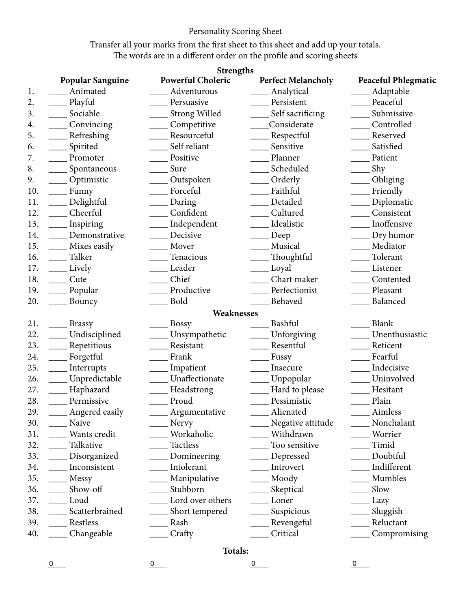# Personality Scoring Sheet

Transfer all your marks from the first sheet to this sheet and add up your totals. The words are in a different order on the profile and scoring sheets

|     | <b>Strengths</b>        |                          |                           |                            |  |  |  |
|-----|-------------------------|--------------------------|---------------------------|----------------------------|--|--|--|
|     | <b>Popular Sanguine</b> | <b>Powerful Choleric</b> | <b>Perfect Melancholy</b> | <b>Peaceful Phlegmatic</b> |  |  |  |
| 1.  | Animated                | Adventurous              | Analytical                | Adaptable                  |  |  |  |
| 2.  | Playful                 | Persuasive               | Persistent                | Peaceful                   |  |  |  |
| 3.  | Sociable                | <b>Strong Willed</b>     | Self sacrificing          | Submissive                 |  |  |  |
| 4.  | Convincing              | Competitive              | Considerate               | Controlled                 |  |  |  |
| 5.  | Refreshing              | Resourceful              | Respectful                | Reserved                   |  |  |  |
| 6.  | Spirited                | Self reliant             | Sensitive                 | Satisfied                  |  |  |  |
| 7.  | Promoter                | Positive                 | Planner                   | Patient                    |  |  |  |
| 8.  | Spontaneous             | Sure                     | Scheduled                 | Shy                        |  |  |  |
| 9.  | Optimistic              | Outspoken                | Orderly                   | Obliging                   |  |  |  |
| 10. | Funny                   | Forceful                 | Faithful                  | Friendly                   |  |  |  |
| 11. | Delightful              | Daring                   | Detailed                  | Diplomatic                 |  |  |  |
| 12. | Cheerful                | Confident                | Cultured                  | Consistent                 |  |  |  |
| 13. | Inspiring               | Independent              | Idealistic                | Inoffensive                |  |  |  |
| 14. | Demonstrative           | Decisive                 | Deep                      | Dry humor                  |  |  |  |
| 15. | Mixes easily            | Mover                    | Musical                   | Mediator                   |  |  |  |
| 16. | Talker                  | Tenacious                | Thoughtful                | Tolerant                   |  |  |  |
| 17. | Lively                  | Leader                   | Loyal                     | Listener                   |  |  |  |
| 18. | Cute                    | Chief                    | Chart maker               | Contented                  |  |  |  |
| 19. | Popular                 | Productive               | Perfectionist             | Pleasant                   |  |  |  |
| 20. | Bouncy                  | <b>Bold</b>              | Behaved                   | Balanced                   |  |  |  |
|     |                         | Weaknesses               |                           |                            |  |  |  |
| 21. | <b>Brassy</b>           | <b>Bossy</b>             | Bashful                   | Blank                      |  |  |  |
| 22. | Undisciplined           | Unsympathetic            | Unforgiving               | Unenthusiastic             |  |  |  |
| 23. | Repetitious             | Resistant                | Resentful                 | Reticent                   |  |  |  |
| 24. | Forgetful               | Frank                    | Fussy                     | Fearful                    |  |  |  |
| 25. | Interrupts              | Impatient                | Insecure                  | Indecisive                 |  |  |  |
| 26. | Unpredictable           | Unaffectionate           | Unpopular                 | Uninvolved                 |  |  |  |
| 27. | Haphazard               | Headstrong               | Hard to please            | Hesitant                   |  |  |  |
| 28. | Permissive              | Proud                    | Pessimistic               | Plain                      |  |  |  |
| 29. | Angered easily          | Argumentative            | Alienated                 | Aimless                    |  |  |  |
| 30. | Naive                   | Nervy                    | Negative attitude         | Nonchalant                 |  |  |  |
| 31. | Wants credit            | Workaholic               | Withdrawn                 | Worrier                    |  |  |  |
| 32. | Talkative               | <b>Tactless</b>          | Too sensitive             | Timid                      |  |  |  |
| 33. | Disorganized            | Domineering              | Depressed                 | Doubtful                   |  |  |  |
| 34. | Inconsistent            | Intolerant               | Introvert                 | Indifferent                |  |  |  |
| 35. | Messy                   | Manipulative             | Moody                     | Mumbles                    |  |  |  |
| 36. | Show-off                | Stubborn                 | Skeptical                 | Slow                       |  |  |  |
| 37. | Loud                    | Lord over others         | Loner                     | Lazy                       |  |  |  |
| 38. | Scatterbrained          | Short tempered           | Suspicious                | Sluggish                   |  |  |  |
| 39. | Restless                | Rash                     | Revengeful                | Reluctant                  |  |  |  |
| 40. | Changeable              | Crafty                   | Critical                  | Compromising               |  |  |  |

## **Totals:**

 $\overline{0}$   $\overline{0}$   $\overline{0}$   $\overline{0}$   $\overline{0}$   $\overline{0}$   $\overline{0}$